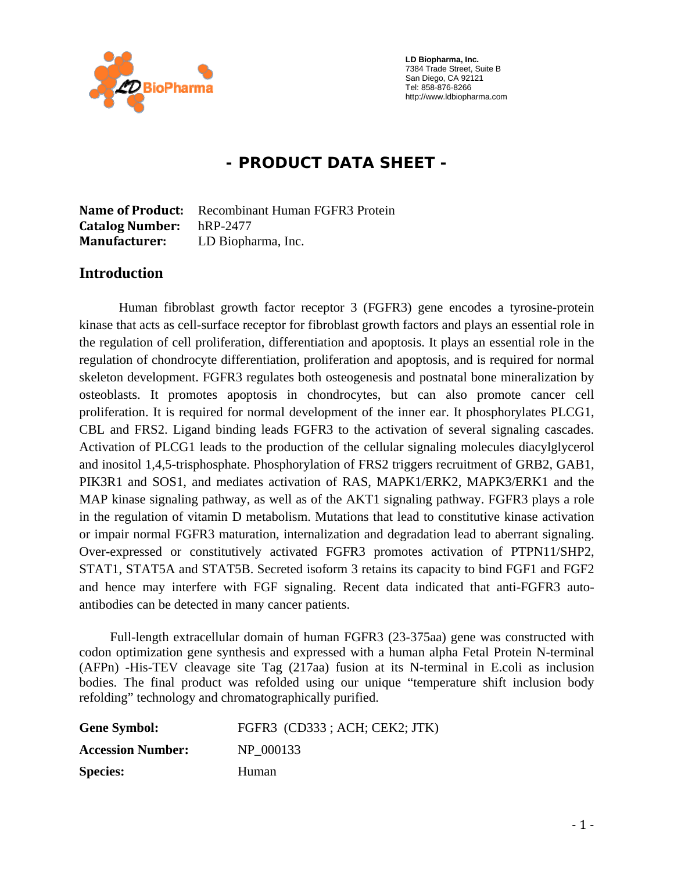

 **LD Biopharma, Inc.**  7384 Trade Street, Suite B San Diego, CA 92121 Tel: 858-876-8266 http://www.ldbiopharma.com

# **- PRODUCT DATA SHEET -**

**Name of Product:** Recombinant Human FGFR3 Protein **Catalog Number:** hRP-2477 **Manufacturer:** LD Biopharma, Inc.

#### **Introduction**

Human fibroblast growth factor receptor 3 (FGFR3) gene encodes a tyrosine-protein kinase that acts as cell-surface receptor for fibroblast growth factors and plays an essential role in the regulation of cell proliferation, differentiation and apoptosis. It plays an essential role in the regulation of chondrocyte differentiation, proliferation and apoptosis, and is required for normal skeleton development. FGFR3 regulates both osteogenesis and postnatal bone mineralization by osteoblasts. It promotes apoptosis in chondrocytes, but can also promote cancer cell proliferation. It is required for normal development of the inner ear. It phosphorylates PLCG1, CBL and FRS2. Ligand binding leads FGFR3 to the activation of several signaling cascades. Activation of PLCG1 leads to the production of the cellular signaling molecules diacylglycerol and inositol 1,4,5-trisphosphate. Phosphorylation of FRS2 triggers recruitment of GRB2, GAB1, PIK3R1 and SOS1, and mediates activation of RAS, MAPK1/ERK2, MAPK3/ERK1 and the MAP kinase signaling pathway, as well as of the AKT1 signaling pathway. FGFR3 plays a role in the regulation of vitamin D metabolism. Mutations that lead to constitutive kinase activation or impair normal FGFR3 maturation, internalization and degradation lead to aberrant signaling. Over-expressed or constitutively activated FGFR3 promotes activation of PTPN11/SHP2, STAT1, STAT5A and STAT5B. Secreted isoform 3 retains its capacity to bind FGF1 and FGF2 and hence may interfere with FGF signaling. Recent data indicated that anti-FGFR3 autoantibodies can be detected in many cancer patients.

 Full-length extracellular domain of human FGFR3 (23-375aa) gene was constructed with codon optimization gene synthesis and expressed with a human alpha Fetal Protein N-terminal (AFPn) -His-TEV cleavage site Tag (217aa) fusion at its N-terminal in E.coli as inclusion bodies. The final product was refolded using our unique "temperature shift inclusion body refolding" technology and chromatographically purified.

| <b>Gene Symbol:</b>      | FGFR3 (CD333; ACH; CEK2; JTK) |
|--------------------------|-------------------------------|
| <b>Accession Number:</b> | NP 000133                     |
| <b>Species:</b>          | Human                         |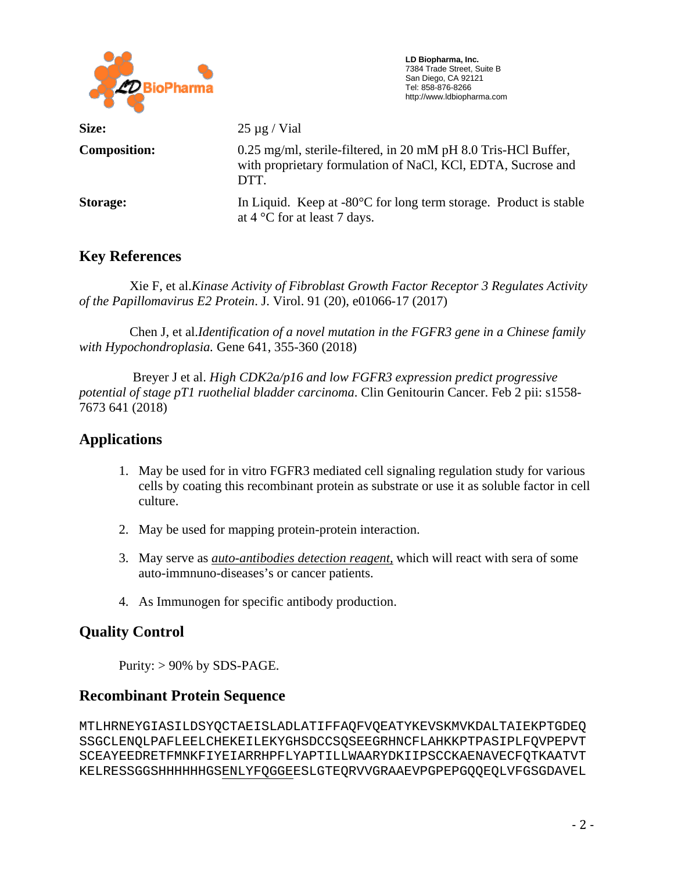

 **LD Biopharma, Inc.**  7384 Trade Street, Suite B San Diego, CA 92121 Tel: 858-876-8266 http://www.ldbiopharma.com

| Size:               | $25 \mu g$ / Vial                                                                                                                      |
|---------------------|----------------------------------------------------------------------------------------------------------------------------------------|
| <b>Composition:</b> | 0.25 mg/ml, sterile-filtered, in 20 mM pH 8.0 Tris-HCl Buffer,<br>with proprietary formulation of NaCl, KCl, EDTA, Sucrose and<br>DTT. |
| Storage:            | In Liquid. Keep at $-80^{\circ}$ C for long term storage. Product is stable<br>at $4^{\circ}$ C for at least 7 days.                   |

## **Key References**

Xie F, et al.*Kinase Activity of Fibroblast Growth Factor Receptor 3 Regulates Activity of the Papillomavirus E2 Protein*. J. Virol. 91 (20), e01066-17 (2017)

 Chen J, et al.*Identification of a novel mutation in the FGFR3 gene in a Chinese family with Hypochondroplasia.* Gene 641, 355-360 (2018)

 Breyer J et al. *High CDK2a/p16 and low FGFR3 expression predict progressive potential of stage pT1 ruothelial bladder carcinoma*. Clin Genitourin Cancer. Feb 2 pii: s1558- 7673 641 (2018)

### **Applications**

- 1. May be used for in vitro FGFR3 mediated cell signaling regulation study for various cells by coating this recombinant protein as substrate or use it as soluble factor in cell culture.
- 2. May be used for mapping protein-protein interaction.
- 3. May serve as *auto-antibodies detection reagent,* which will react with sera of some auto-immnuno-diseases's or cancer patients.
- 4. As Immunogen for specific antibody production.

## **Quality Control**

Purity:  $> 90\%$  by SDS-PAGE.

## **Recombinant Protein Sequence**

MTLHRNEYGIASILDSYQCTAEISLADLATIFFAQFVQEATYKEVSKMVKDALTAIEKPTGDEQ SSGCLENQLPAFLEELCHEKEILEKYGHSDCCSQSEEGRHNCFLAHKKPTPASIPLFQVPEPVT SCEAYEEDRETFMNKFIYEIARRHPFLYAPTILLWAARYDKIIPSCCKAENAVECFQTKAATVT KELRESSGGSHHHHHHGSENLYFQGGEESLGTEQRVVGRAAEVPGPEPGQQEQLVFGSGDAVEL